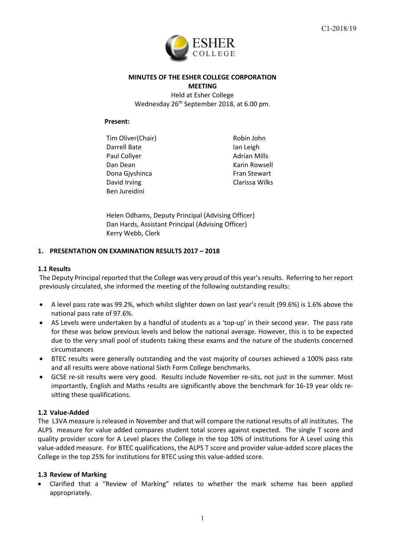

# **MINUTES OF THE ESHER COLLEGE CORPORATION MEETING** Held at Esher College Wednesday 26<sup>th</sup> September 2018, at 6.00 pm.

#### **Present:**

Tim Oliver(Chair) Robin John Darrell Bate **Ian Leigh** Paul Collyer **Adrian Mills** Paul Collyer **Adrian Mills** Dan Dean National Communication of the Karin Rowsell Dona Giyshinca **Fran Stewart** David Irving **Clarissa** Wilks Ben Jureidini

Helen Odhams, Deputy Principal (Advising Officer) Dan Hards, Assistant Principal (Advising Officer) Kerry Webb, Clerk

### **1. PRESENTATION ON EXAMINATION RESULTS 2017 – 2018**

#### **1.1 Results**

The Deputy Principal reported that the College was very proud of this year's results. Referring to her report previously circulated, she informed the meeting of the following outstanding results:

- A level pass rate was 99.2%, which whilst slighter down on last year's result (99.6%) is 1.6% above the national pass rate of 97.6%.
- AS Levels were undertaken by a handful of students as a 'top-up' in their second year. The pass rate for these was below previous levels and below the national average. However, this is to be expected due to the very small pool of students taking these exams and the nature of the students concerned circumstances
- BTEC results were generally outstanding and the vast majority of courses achieved a 100% pass rate and all results were above national Sixth Form College benchmarks.
- GCSE re-sit results were very good. Results include November re-sits, not just in the summer. Most importantly, English and Maths results are significantly above the benchmark for 16-19 year olds resitting these qualifications.

### **1.2 Value-Added**

The L3VA measure is released in November and that will compare the national results of all institutes. The ALPS measure for value added compares student total scores against expected. The single T score and quality provider score for A Level places the College in the top 10% of institutions for A Level using this value-added measure. For BTEC qualifications, the ALPS T score and provider value-added score places the College in the top 25% for institutions for BTEC using this value-added score.

### **1.3 Review of Marking**

• Clarified that a "Review of Marking" relates to whether the mark scheme has been applied appropriately.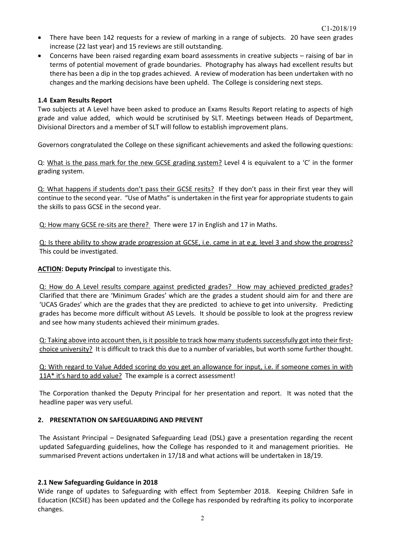- There have been 142 requests for a review of marking in a range of subjects. 20 have seen grades increase (22 last year) and 15 reviews are still outstanding.
- Concerns have been raised regarding exam board assessments in creative subjects raising of bar in terms of potential movement of grade boundaries. Photography has always had excellent results but there has been a dip in the top grades achieved. A review of moderation has been undertaken with no changes and the marking decisions have been upheld. The College is considering next steps.

### **1.4 Exam Results Report**

Two subjects at A Level have been asked to produce an Exams Results Report relating to aspects of high grade and value added, which would be scrutinised by SLT. Meetings between Heads of Department, Divisional Directors and a member of SLT will follow to establish improvement plans.

Governors congratulated the College on these significant achievements and asked the following questions:

Q: What is the pass mark for the new GCSE grading system? Level 4 is equivalent to a 'C' in the former grading system.

Q: What happens if students don't pass their GCSE resits? If they don't pass in their first year they will continue to the second year. "Use of Maths" is undertaken in the first year for appropriate students to gain the skills to pass GCSE in the second year.

Q: How many GCSE re-sits are there? There were 17 in English and 17 in Maths.

Q: Is there ability to show grade progression at GCSE, i.e. came in at e.g. level 3 and show the progress? This could be investigated.

**ACTION: Deputy Principal** to investigate this.

Q: How do A Level results compare against predicted grades? How may achieved predicted grades? Clarified that there are 'Minimum Grades' which are the grades a student should aim for and there are 'UCAS Grades' which are the grades that they are predicted to achieve to get into university. Predicting grades has become more difficult without AS Levels. It should be possible to look at the progress review and see how many students achieved their minimum grades.

Q: Taking above into account then, is it possible to track how many students successfully got into their firstchoice university? It is difficult to track this due to a number of variables, but worth some further thought.

Q: With regard to Value Added scoring do you get an allowance for input, i.e. if someone comes in with 11A\* it's hard to add value? The example is a correct assessment!

The Corporation thanked the Deputy Principal for her presentation and report. It was noted that the headline paper was very useful.

### **2. PRESENTATION ON SAFEGUARDING AND PREVENT**

The Assistant Principal – Designated Safeguarding Lead (DSL) gave a presentation regarding the recent updated Safeguarding guidelines, how the College has responded to it and management priorities. He summarised Prevent actions undertaken in 17/18 and what actions will be undertaken in 18/19.

### **2.1 New Safeguarding Guidance in 2018**

Wide range of updates to Safeguarding with effect from September 2018. Keeping Children Safe in Education (KCSIE) has been updated and the College has responded by redrafting its policy to incorporate changes.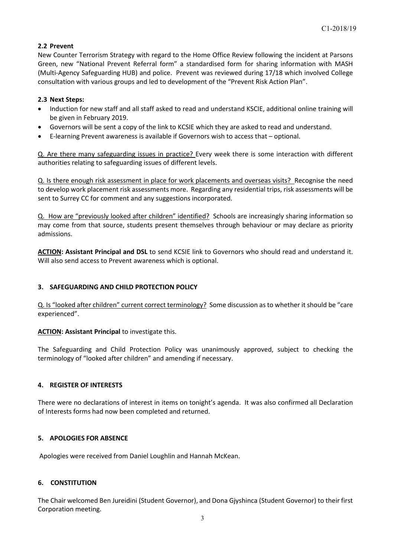# **2.2 Prevent**

New Counter Terrorism Strategy with regard to the Home Office Review following the incident at Parsons Green, new "National Prevent Referral form" a standardised form for sharing information with MASH (Multi-Agency Safeguarding HUB) and police. Prevent was reviewed during 17/18 which involved College consultation with various groups and led to development of the "Prevent Risk Action Plan".

### **2.3 Next Steps:**

- Induction for new staff and all staff asked to read and understand KSCIE, additional online training will be given in February 2019.
- Governors will be sent a copy of the link to KCSIE which they are asked to read and understand.
- E-learning Prevent awareness is available if Governors wish to access that optional.

Q. Are there many safeguarding issues in practice? Every week there is some interaction with different authorities relating to safeguarding issues of different levels.

Q. Is there enough risk assessment in place for work placements and overseas visits? Recognise the need to develop work placement risk assessments more. Regarding any residential trips, risk assessments will be sent to Surrey CC for comment and any suggestions incorporated.

Q. How are "previously looked after children" identified? Schools are increasingly sharing information so may come from that source, students present themselves through behaviour or may declare as priority admissions.

**ACTION: Assistant Principal and DSL** to send KCSIE link to Governors who should read and understand it. Will also send access to Prevent awareness which is optional.

# **3. SAFEGUARDING AND CHILD PROTECTION POLICY**

Q. Is "looked after children" current correct terminology? Some discussion as to whether it should be "care experienced".

### **ACTION: Assistant Principal** to investigate this.

The Safeguarding and Child Protection Policy was unanimously approved, subject to checking the terminology of "looked after children" and amending if necessary.

### **4. REGISTER OF INTERESTS**

There were no declarations of interest in items on tonight's agenda. It was also confirmed all Declaration of Interests forms had now been completed and returned.

# **5. APOLOGIES FOR ABSENCE**

Apologies were received from Daniel Loughlin and Hannah McKean.

### **6. CONSTITUTION**

The Chair welcomed Ben Jureidini (Student Governor), and Dona Gjyshinca (Student Governor) to their first Corporation meeting.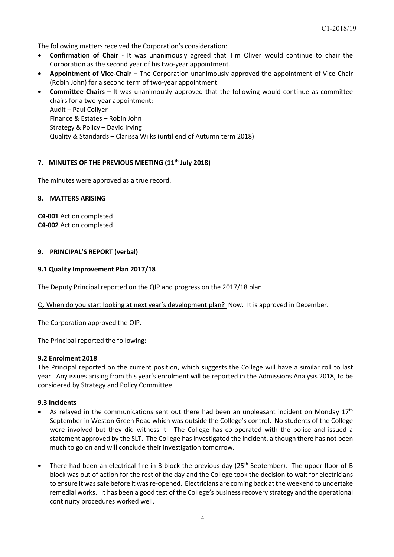The following matters received the Corporation's consideration:

- **Confirmation of Chair** It was unanimously agreed that Tim Oliver would continue to chair the Corporation as the second year of his two-year appointment.
- **Appointment of Vice-Chair –** The Corporation unanimously approved the appointment of Vice-Chair (Robin John) for a second term of two-year appointment.
- **Committee Chairs –** It was unanimously approved that the following would continue as committee chairs for a two-year appointment: Audit – Paul Collyer Finance & Estates – Robin John Strategy & Policy – David Irving Quality & Standards – Clarissa Wilks (until end of Autumn term 2018)

### **7. MINUTES OF THE PREVIOUS MEETING (11th July 2018)**

The minutes were approved as a true record.

#### **8. MATTERS ARISING**

**C4-001** Action completed **C4-002** Action completed

#### **9. PRINCIPAL'S REPORT (verbal)**

#### **9.1 Quality Improvement Plan 2017/18**

The Deputy Principal reported on the QIP and progress on the 2017/18 plan.

Q. When do you start looking at next year's development plan? Now. It is approved in December.

The Corporation approved the QIP.

The Principal reported the following:

#### **9.2 Enrolment 2018**

The Principal reported on the current position, which suggests the College will have a similar roll to last year. Any issues arising from this year's enrolment will be reported in the Admissions Analysis 2018, to be considered by Strategy and Policy Committee.

#### **9.3 Incidents**

- As relayed in the communications sent out there had been an unpleasant incident on Monday  $17<sup>th</sup>$ September in Weston Green Road which was outside the College's control. No students of the College were involved but they did witness it. The College has co-operated with the police and issued a statement approved by the SLT. The College has investigated the incident, although there has not been much to go on and will conclude their investigation tomorrow.
- There had been an electrical fire in B block the previous day (25<sup>th</sup> September). The upper floor of B block was out of action for the rest of the day and the College took the decision to wait for electricians to ensure it was safe before it was re-opened. Electricians are coming back at the weekend to undertake remedial works. It has been a good test of the College's business recovery strategy and the operational continuity procedures worked well.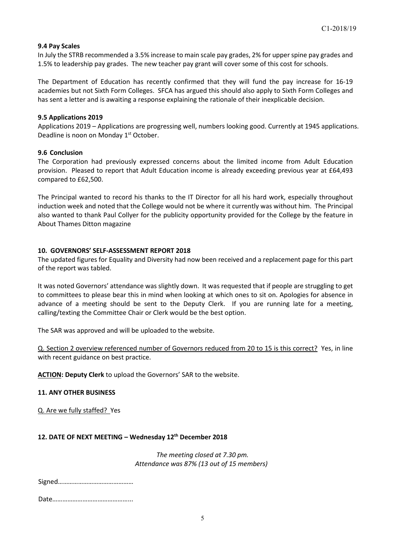### **9.4 Pay Scales**

In July the STRB recommended a 3.5% increase to main scale pay grades, 2% for upper spine pay grades and 1.5% to leadership pay grades. The new teacher pay grant will cover some of this cost for schools.

The Department of Education has recently confirmed that they will fund the pay increase for 16-19 academies but not Sixth Form Colleges. SFCA has argued this should also apply to Sixth Form Colleges and has sent a letter and is awaiting a response explaining the rationale of their inexplicable decision.

#### **9.5 Applications 2019**

Applications 2019 – Applications are progressing well, numbers looking good. Currently at 1945 applications. Deadline is noon on Monday 1<sup>st</sup> October.

#### **9.6 Conclusion**

The Corporation had previously expressed concerns about the limited income from Adult Education provision. Pleased to report that Adult Education income is already exceeding previous year at £64,493 compared to £62,500.

The Principal wanted to record his thanks to the IT Director for all his hard work, especially throughout induction week and noted that the College would not be where it currently was without him. The Principal also wanted to thank Paul Collyer for the publicity opportunity provided for the College by the feature in About Thames Ditton magazine

### **10. GOVERNORS' SELF-ASSESSMENT REPORT 2018**

The updated figures for Equality and Diversity had now been received and a replacement page for this part of the report was tabled.

It was noted Governors' attendance was slightly down. It was requested that if people are struggling to get to committees to please bear this in mind when looking at which ones to sit on. Apologies for absence in advance of a meeting should be sent to the Deputy Clerk. If you are running late for a meeting, calling/texting the Committee Chair or Clerk would be the best option.

The SAR was approved and will be uploaded to the website.

Q. Section 2 overview referenced number of Governors reduced from 20 to 15 is this correct? Yes, in line with recent guidance on best practice.

**ACTION: Deputy Clerk** to upload the Governors' SAR to the website.

### **11. ANY OTHER BUSINESS**

Q. Are we fully staffed? Yes

### **12. DATE OF NEXT MEETING – Wednesday 12th December 2018**

*The meeting closed at 7.30 pm. Attendance was 87% (13 out of 15 members)*

Signed………………………………………

Date………………………………………...